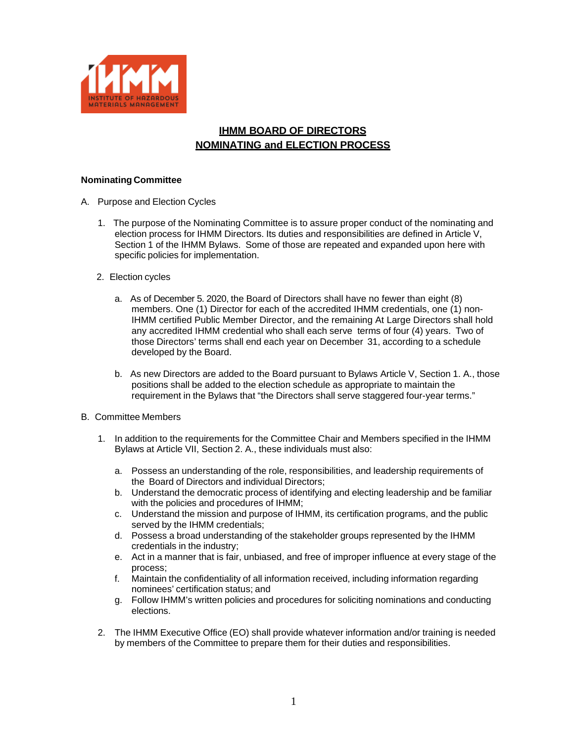

## **IHMM BOARD OF DIRECTORS NOMINATING and ELECTION PROCESS**

## **Nominating Committee**

- A. Purpose and Election Cycles
	- 1. The purpose of the Nominating Committee is to assure proper conduct of the nominating and election process for IHMM Directors. Its duties and responsibilities are defined in Article V, Section 1 of the IHMM Bylaws. Some of those are repeated and expanded upon here with specific policies for implementation.
	- 2. Election cycles
		- a. As of December 5. 2020, the Board of Directors shall have no fewer than eight (8) members. One (1) Director for each of the accredited IHMM credentials, one (1) non-IHMM certified Public Member Director, and the remaining At Large Directors shall hold any accredited IHMM credential who shall each serve terms of four (4) years. Two of those Directors' terms shall end each year on December 31, according to a schedule developed by the Board.
		- b. As new Directors are added to the Board pursuant to Bylaws Article V, Section 1. A., those positions shall be added to the election schedule as appropriate to maintain the requirement in the Bylaws that "the Directors shall serve staggered four-year terms."
- B. Committee Members
	- 1. In addition to the requirements for the Committee Chair and Members specified in the IHMM Bylaws at Article VII, Section 2. A., these individuals must also:
		- a. Possess an understanding of the role, responsibilities, and leadership requirements of the Board of Directors and individual Directors;
		- b. Understand the democratic process of identifying and electing leadership and be familiar with the policies and procedures of IHMM;
		- c. Understand the mission and purpose of IHMM, its certification programs, and the public served by the IHMM credentials;
		- d. Possess a broad understanding of the stakeholder groups represented by the IHMM credentials in the industry;
		- e. Act in a manner that is fair, unbiased, and free of improper influence at every stage of the process;
		- f. Maintain the confidentiality of all information received, including information regarding nominees' certification status; and
		- g. Follow IHMM's written policies and procedures for soliciting nominations and conducting elections.
	- 2. The IHMM Executive Office (EO) shall provide whatever information and/or training is needed by members of the Committee to prepare them for their duties and responsibilities.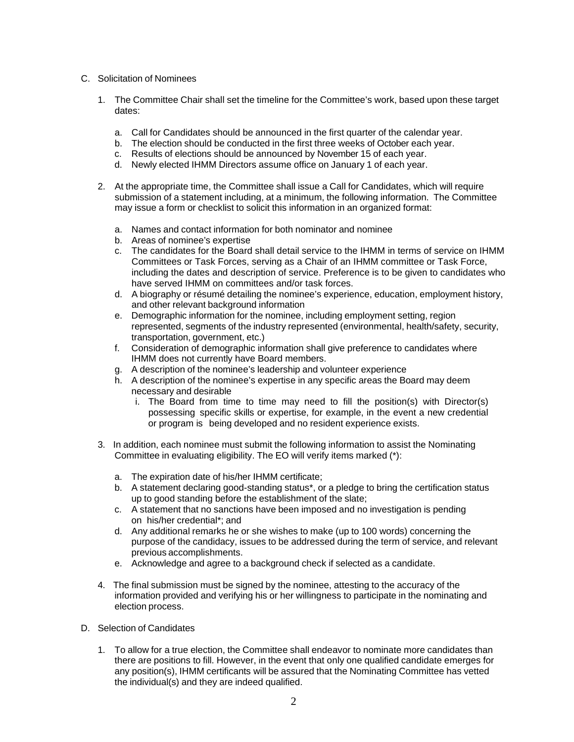## C. Solicitation of Nominees

- 1. The Committee Chair shall set the timeline for the Committee's work, based upon these target dates:
	- a. Call for Candidates should be announced in the first quarter of the calendar year.
	- b. The election should be conducted in the first three weeks of October each year.
	- c. Results of elections should be announced by November 15 of each year.
	- d. Newly elected IHMM Directors assume office on January 1 of each year.
- 2. At the appropriate time, the Committee shall issue a Call for Candidates, which will require submission of a statement including, at a minimum, the following information. The Committee may issue a form or checklist to solicit this information in an organized format:
	- a. Names and contact information for both nominator and nominee
	- b. Areas of nominee's expertise
	- c. The candidates for the Board shall detail service to the IHMM in terms of service on IHMM Committees or Task Forces, serving as a Chair of an IHMM committee or Task Force, including the dates and description of service. Preference is to be given to candidates who have served IHMM on committees and/or task forces.
	- d. A biography or résumé detailing the nominee's experience, education, employment history, and other relevant background information
	- e. Demographic information for the nominee, including employment setting, region represented, segments of the industry represented (environmental, health/safety, security, transportation, government, etc.)
	- f. Consideration of demographic information shall give preference to candidates where IHMM does not currently have Board members.
	- g. A description of the nominee's leadership and volunteer experience
	- h. A description of the nominee's expertise in any specific areas the Board may deem necessary and desirable
		- i. The Board from time to time may need to fill the position(s) with Director(s) possessing specific skills or expertise, for example, in the event a new credential or program is being developed and no resident experience exists.
- 3. In addition, each nominee must submit the following information to assist the Nominating Committee in evaluating eligibility. The EO will verify items marked (\*):
	- a. The expiration date of his/her IHMM certificate;
	- b. A statement declaring good-standing status\*, or a pledge to bring the certification status up to good standing before the establishment of the slate;
	- c. A statement that no sanctions have been imposed and no investigation is pending on his/her credential\*; and
	- d. Any additional remarks he or she wishes to make (up to 100 words) concerning the purpose of the candidacy, issues to be addressed during the term of service, and relevant previous accomplishments.
	- e. Acknowledge and agree to a background check if selected as a candidate.
- 4. The final submission must be signed by the nominee, attesting to the accuracy of the information provided and verifying his or her willingness to participate in the nominating and election process.
- D. Selection of Candidates
	- 1. To allow for a true election, the Committee shall endeavor to nominate more candidates than there are positions to fill. However, in the event that only one qualified candidate emerges for any position(s), IHMM certificants will be assured that the Nominating Committee has vetted the individual(s) and they are indeed qualified.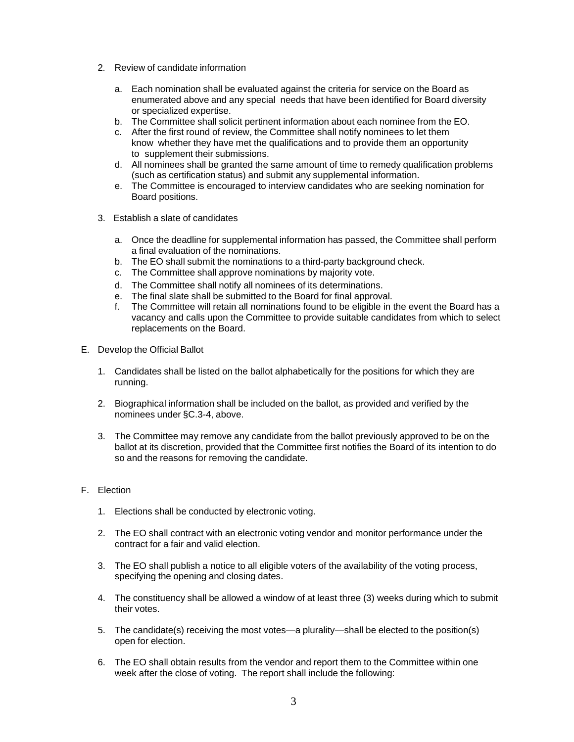- 2. Review of candidate information
	- a. Each nomination shall be evaluated against the criteria for service on the Board as enumerated above and any special needs that have been identified for Board diversity or specialized expertise.
	- b. The Committee shall solicit pertinent information about each nominee from the EO.
	- c. After the first round of review, the Committee shall notify nominees to let them know whether they have met the qualifications and to provide them an opportunity to supplement their submissions.
	- d. All nominees shall be granted the same amount of time to remedy qualification problems (such as certification status) and submit any supplemental information.
	- e. The Committee is encouraged to interview candidates who are seeking nomination for Board positions.
- 3. Establish a slate of candidates
	- a. Once the deadline for supplemental information has passed, the Committee shall perform a final evaluation of the nominations.
	- b. The EO shall submit the nominations to a third-party background check.
	- c. The Committee shall approve nominations by majority vote.
	- d. The Committee shall notify all nominees of its determinations.
	- e. The final slate shall be submitted to the Board for final approval.
	- f. The Committee will retain all nominations found to be eligible in the event the Board has a vacancy and calls upon the Committee to provide suitable candidates from which to select replacements on the Board.
- E. Develop the Official Ballot
	- 1. Candidates shall be listed on the ballot alphabetically for the positions for which they are running.
	- 2. Biographical information shall be included on the ballot, as provided and verified by the nominees under §C.3-4, above.
	- 3. The Committee may remove any candidate from the ballot previously approved to be on the ballot at its discretion, provided that the Committee first notifies the Board of its intention to do so and the reasons for removing the candidate.

## F. Election

- 1. Elections shall be conducted by electronic voting.
- 2. The EO shall contract with an electronic voting vendor and monitor performance under the contract for a fair and valid election.
- 3. The EO shall publish a notice to all eligible voters of the availability of the voting process, specifying the opening and closing dates.
- 4. The constituency shall be allowed a window of at least three (3) weeks during which to submit their votes.
- 5. The candidate(s) receiving the most votes—a plurality—shall be elected to the position(s) open for election.
- 6. The EO shall obtain results from the vendor and report them to the Committee within one week after the close of voting. The report shall include the following: